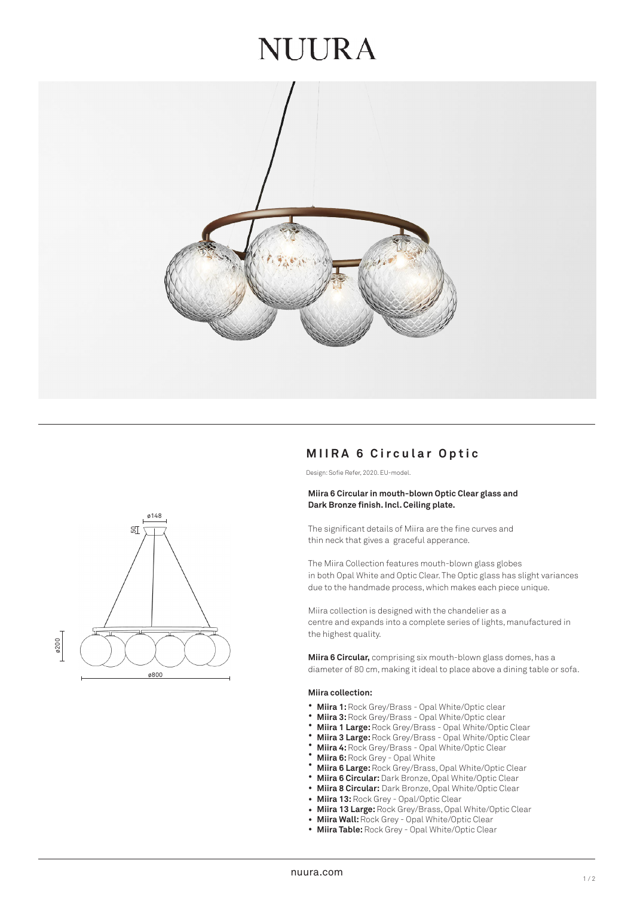## **NUURA**



### **MIIRA 6 Circular Optic**

Design: Sofie Refer, 2020. EU-model.

#### **Miira 6 Circular in mouth-blown Optic Clear glass and Dark Bronze finish. Incl. Ceiling plate.**

The significant details of Miira are the fine curves and thin neck that gives a graceful apperance.

The Miira Collection features mouth-blown glass globes in both Opal White and Optic Clear. The Optic glass has slight variances due to the handmade process, which makes each piece unique.

Miira collection is designed with the chandelier as a centre and expands into a complete series of lights, manufactured in the highest quality.

**Miira 6 Circular,** comprising six mouth-blown glass domes, has a diameter of 80 cm, making it ideal to place above a dining table or sofa.

#### **Miira collection:**

- **Miira 1:** Rock Grey/Brass Opal White/Optic clear
- **Miira 3:** Rock Grey/Brass Opal White/Optic clear
- **Miira 1 Large:** Rock Grey/Brass Opal White/Optic Clear
- **Miira 3 Large:** Rock Grey/Brass Opal White/Optic Clear
- **Miira 4:** Rock Grey/Brass Opal White/Optic Clear
- **Miira 6:** Rock Grey Opal White
- **Miira 6 Large:** Rock Grey/Brass, Opal White/Optic Clear ••••••••••••
- **Miira 6 Circular:** Dark Bronze, Opal White/Optic Clear
- $\bullet$ **Miira 8 Circular:** Dark Bronze, Opal White/Optic Clear
- **Miira 13:** Rock Grey Opal/Optic Clear
- **Miira 13 Large:** Rock Grey/Brass, Opal White/Optic Clear  $\bullet$
- **Miira Wall:** Rock Grey Opal White/Optic Clear
- $\ddot{\phantom{0}}$ **Miira Table:** Rock Grey - Opal White/Optic Clear